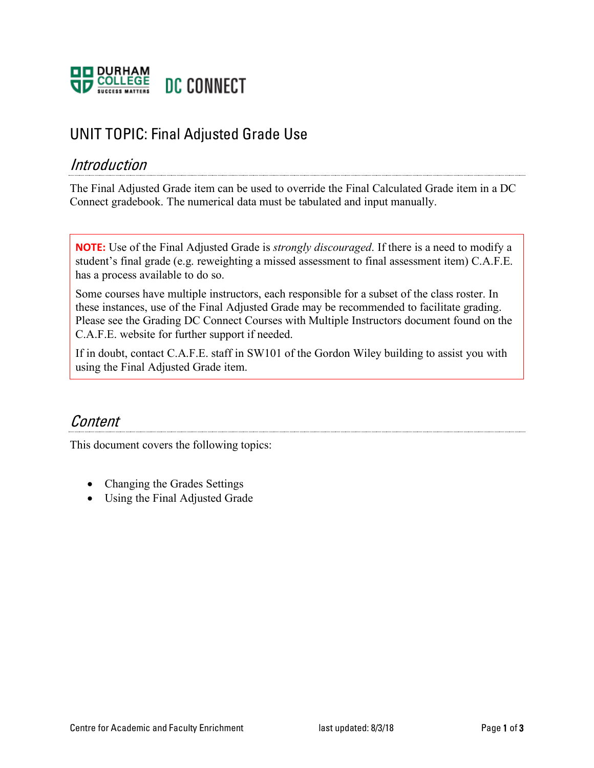

# UNIT TOPIC: Final Adjusted Grade Use

### Introduction

The Final Adjusted Grade item can be used to override the Final Calculated Grade item in a DC Connect gradebook. The numerical data must be tabulated and input manually.

**NOTE:** Use of the Final Adjusted Grade is *strongly discouraged*. If there is a need to modify a student's final grade (e.g. reweighting a missed assessment to final assessment item) C.A.F.E. has a process available to do so.

Some courses have multiple instructors, each responsible for a subset of the class roster. In these instances, use of the Final Adjusted Grade may be recommended to facilitate grading. Please see the Grading DC Connect Courses with Multiple Instructors document found on the C.A.F.E. website for further support if needed.

If in doubt, contact C.A.F.E. staff in SW101 of the Gordon Wiley building to assist you with using the Final Adjusted Grade item.

## **Content**

This document covers the following topics:

- Changing the Grades Settings
- Using the Final Adjusted Grade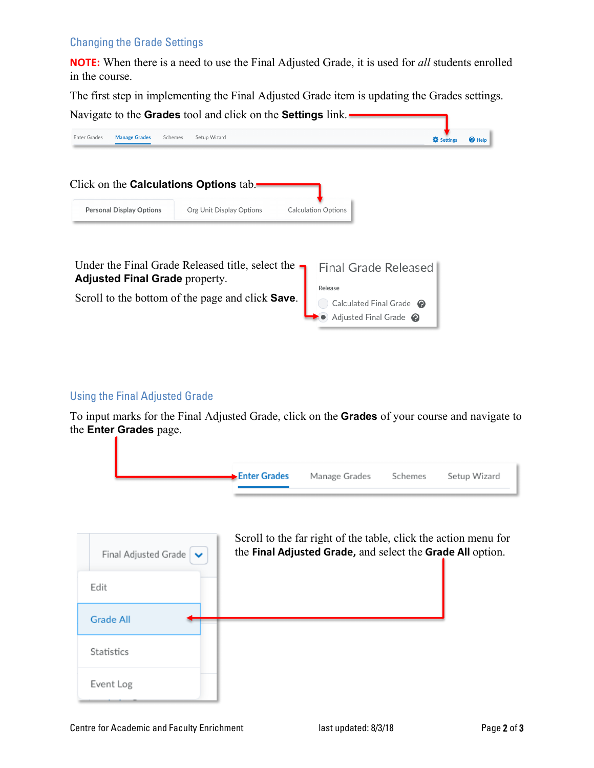#### Changing the Grade Settings

**NOTE:** When there is a need to use the Final Adjusted Grade, it is used for *all* students enrolled in the course.

The first step in implementing the Final Adjusted Grade item is updating the Grades settings.

| Navigate to the <b>Grades</b> tool and click on the <b>Settings</b> link.<br><b>Enter Grades</b><br><b>Manage Grades</b><br>Schemes                   | Setup Wizard             |                                                                    | Settings | $\bigcirc$ Help |
|-------------------------------------------------------------------------------------------------------------------------------------------------------|--------------------------|--------------------------------------------------------------------|----------|-----------------|
| Click on the <b>Calculations Options</b> tab.<br><b>Personal Display Options</b>                                                                      | Org Unit Display Options | <b>Calculation Options</b>                                         |          |                 |
| Under the Final Grade Released title, select the<br><b>Adjusted Final Grade property.</b><br>Scroll to the bottom of the page and click <b>Save</b> . |                          | <b>Final Grade Released</b><br>Release<br>Calculated Final Grade @ |          |                 |

### Using the Final Adjusted Grade

To input marks for the Final Adjusted Grade, click on the **Grades** of your course and navigate to the **Enter Grades** page.



| Final Adjusted Grade $\vert \bullet \vert$ | Scroll to the far right of the table, click the action menu for<br>the Final Adjusted Grade, and select the Grade All option. |
|--------------------------------------------|-------------------------------------------------------------------------------------------------------------------------------|
| Edit                                       |                                                                                                                               |
| <b>Grade All</b>                           |                                                                                                                               |
| Statistics                                 |                                                                                                                               |
| Event Log                                  |                                                                                                                               |